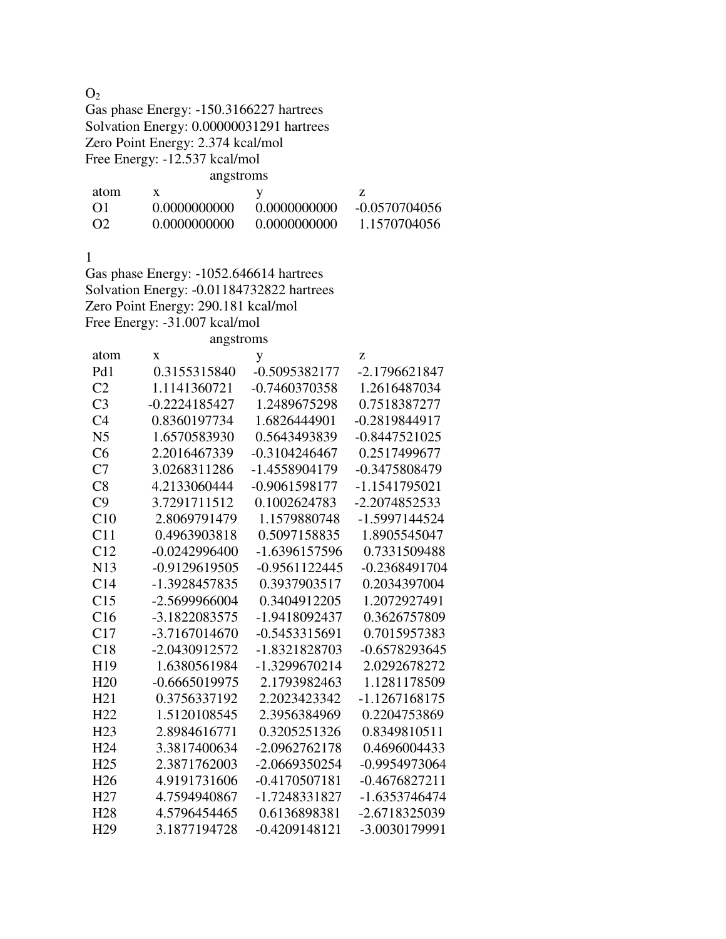| O <sub>2</sub>  |                                           |                 |                 |
|-----------------|-------------------------------------------|-----------------|-----------------|
|                 | Gas phase Energy: -150.3166227 hartrees   |                 |                 |
|                 | Solvation Energy: 0.00000031291 hartrees  |                 |                 |
|                 | Zero Point Energy: 2.374 kcal/mol         |                 |                 |
|                 | Free Energy: -12.537 kcal/mol             |                 |                 |
|                 | angstroms                                 |                 |                 |
| atom            | X                                         | y               | Z               |
| O <sub>1</sub>  | 0.0000000000                              | 0.0000000000    | $-0.0570704056$ |
| O <sub>2</sub>  | 0.0000000000                              | 0.0000000000    | 1.1570704056    |
|                 |                                           |                 |                 |
| 1               |                                           |                 |                 |
|                 | Gas phase Energy: -1052.646614 hartrees   |                 |                 |
|                 | Solvation Energy: -0.01184732822 hartrees |                 |                 |
|                 | Zero Point Energy: 290.181 kcal/mol       |                 |                 |
|                 | Free Energy: -31.007 kcal/mol             |                 |                 |
|                 | angstroms                                 |                 |                 |
| atom            | X                                         | y               | Z               |
| Pd1             | 0.3155315840                              | $-0.5095382177$ | -2.1796621847   |
| C <sub>2</sub>  | 1.1141360721                              | $-0.7460370358$ | 1.2616487034    |
| C <sub>3</sub>  | $-0.2224185427$                           | 1.2489675298    | 0.7518387277    |
| C <sub>4</sub>  | 0.8360197734                              | 1.6826444901    | -0.2819844917   |
| N <sub>5</sub>  | 1.6570583930                              | 0.5643493839    | $-0.8447521025$ |
| C6              | 2.2016467339                              | $-0.3104246467$ | 0.2517499677    |
| C7              | 3.0268311286                              | -1.4558904179   | -0.3475808479   |
| C8              | 4.2133060444                              | -0.9061598177   | -1.1541795021   |
| C9              | 3.7291711512                              | 0.1002624783    | -2.2074852533   |
| C10             | 2.8069791479                              | 1.1579880748    | -1.5997144524   |
| C11             | 0.4963903818                              | 0.5097158835    | 1.8905545047    |
| C12             | $-0.0242996400$                           | -1.6396157596   | 0.7331509488    |
| N13             | -0.9129619505                             | $-0.9561122445$ | $-0.2368491704$ |
| C14             | -1.3928457835                             | 0.3937903517    | 0.2034397004    |
| C15             | $-2.5699966004$                           | 0.3404912205    | 1.2072927491    |
| C16             | -3.1822083575                             | -1.9418092437   | 0.3626757809    |
| C17             | -3.7167014670                             | $-0.5453315691$ | 0.7015957383    |
| C18             | -2.0430912572                             | -1.8321828703   | $-0.6578293645$ |
| H19             | 1.6380561984                              | -1.3299670214   | 2.0292678272    |
| H20             | $-0.6665019975$                           | 2.1793982463    | 1.1281178509    |
| H21             | 0.3756337192                              | 2.2023423342    | -1.1267168175   |
| H22             | 1.5120108545                              | 2.3956384969    | 0.2204753869    |
| H <sub>23</sub> | 2.8984616771                              | 0.3205251326    | 0.8349810511    |
| H <sub>24</sub> | 3.3817400634                              | -2.0962762178   | 0.4696004433    |
| H <sub>25</sub> | 2.3871762003                              | -2.0669350254   | -0.9954973064   |
| H <sub>26</sub> | 4.9191731606                              | $-0.4170507181$ | $-0.4676827211$ |
| H <sub>27</sub> | 4.7594940867                              | -1.7248331827   | -1.6353746474   |
| H <sub>28</sub> | 4.5796454465                              | 0.6136898381    | -2.6718325039   |
| H <sub>29</sub> | 3.1877194728                              | $-0.4209148121$ | -3.0030179991   |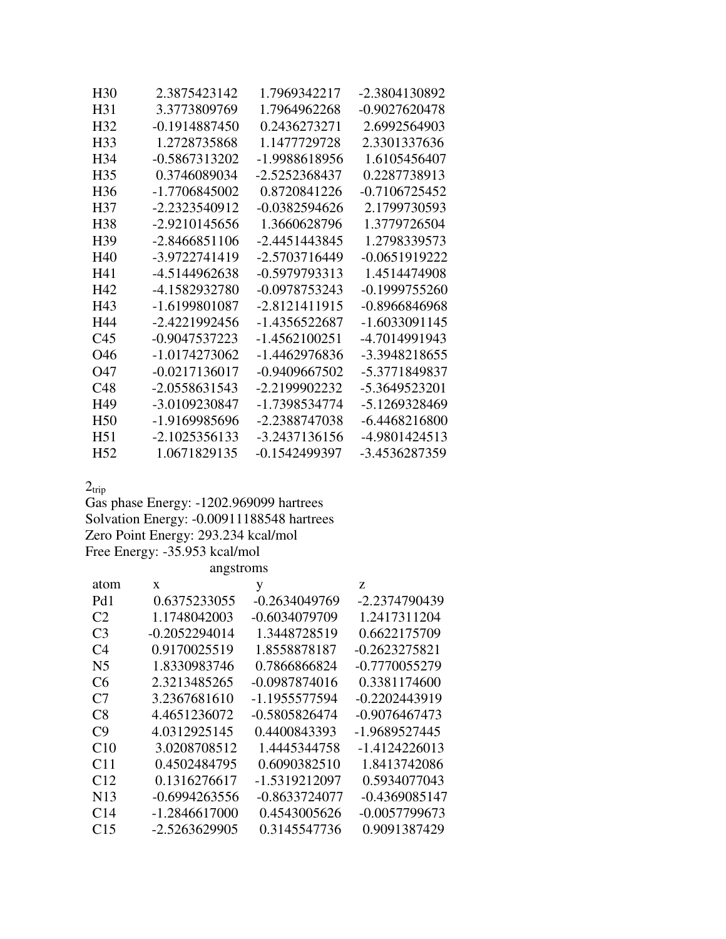| H <sub>30</sub> | 2.3875423142    | 1.7969342217    | -2.3804130892   |
|-----------------|-----------------|-----------------|-----------------|
| H31             | 3.3773809769    | 1.7964962268    | -0.9027620478   |
| H <sub>32</sub> | $-0.1914887450$ | 0.2436273271    | 2.6992564903    |
| H <sub>33</sub> | 1.2728735868    | 1.1477729728    | 2.3301337636    |
| H34             | $-0.5867313202$ | -1.9988618956   | 1.6105456407    |
| H <sub>35</sub> | 0.3746089034    | -2.5252368437   | 0.2287738913    |
| H <sub>36</sub> | -1.7706845002   | 0.8720841226    | $-0.7106725452$ |
| H37             | -2.2323540912   | -0.0382594626   | 2.1799730593    |
| H38             | $-2.9210145656$ | 1.3660628796    | 1.3779726504    |
| H <sub>39</sub> | -2.8466851106   | -2.4451443845   | 1.2798339573    |
| H40             | -3.9722741419   | -2.5703716449   | $-0.0651919222$ |
| H41             | -4.5144962638   | $-0.5979793313$ | 1.4514474908    |
| H42             | -4.1582932780   | -0.0978753243   | -0.1999755260   |
| H43             | -1.6199801087   | -2.8121411915   | -0.8966846968   |
| H44             | -2.4221992456   | -1 4356522687   | -1.6033091145   |
| C <sub>45</sub> | -0.9047537223   | -1.4562100251   | -4.7014991943   |
| O46             | -1.0174273062   | -1.4462976836   | -3.3948218655   |
| O47             | $-0.0217136017$ | -0.9409667502   | -5.3771849837   |
| C48             | $-2.0558631543$ | -2.2199902232   | -5.3649523201   |
| H <sub>49</sub> | -3.0109230847   | -1.7398534774   | -5.1269328469   |
| H <sub>50</sub> | -1.9169985696   | -2.2388747038   | -6.4468216800   |
| H51             | $-2.1025356133$ | -3.2437136156   | -4.9801424513   |
| H52             | 1.0671829135    | -0.1542499397   | -3.4536287359   |

 $2_{\rm trip}$ 

Gas phase Energy: -1202.969099 hartrees Solvation Energy: -0.00911188548 hartrees Zero Point Energy: 293.234 kcal/mol Free Energy: -35.953 kcal/mol

| angstroms       |                 |                 |                 |  |
|-----------------|-----------------|-----------------|-----------------|--|
| atom            | X               | у               | Z               |  |
| Pd1             | 0.6375233055    | $-0.2634049769$ | -2.2374790439   |  |
| C2              | 1.1748042003    | $-0.6034079709$ | 1.2417311204    |  |
| C <sub>3</sub>  | $-0.2052294014$ | 1.3448728519    | 0.6622175709    |  |
| C4              | 0.9170025519    | 1.8558878187    | $-0.2623275821$ |  |
| N5              | 1.8330983746    | 0.7866866824    | $-0.7770055279$ |  |
| C6              | 2.3213485265    | $-0.0987874016$ | 0.3381174600    |  |
| C <sub>7</sub>  | 3.2367681610    | -1.1955577594   | -0.2202443919   |  |
| C8              | 4.4651236072    | $-0.5805826474$ | $-0.9076467473$ |  |
| C9              | 4.0312925145    | 0.4400843393    | -1.9689527445   |  |
| C10             | 3.0208708512    | 1.4445344758    | -1.4124226013   |  |
| C11             | 0.4502484795    | 0.6090382510    | 1.8413742086    |  |
| C12             | 0.1316276617    | -1.5319212097   | 0.5934077043    |  |
| N <sub>13</sub> | $-0.6994263556$ | -0.8633724077   | $-0.4369085147$ |  |
| C <sub>14</sub> | $-1.2846617000$ | 0.4543005626    | $-0.0057799673$ |  |
| C15             | -2.5263629905   | 0.3145547736    | 0.9091387429    |  |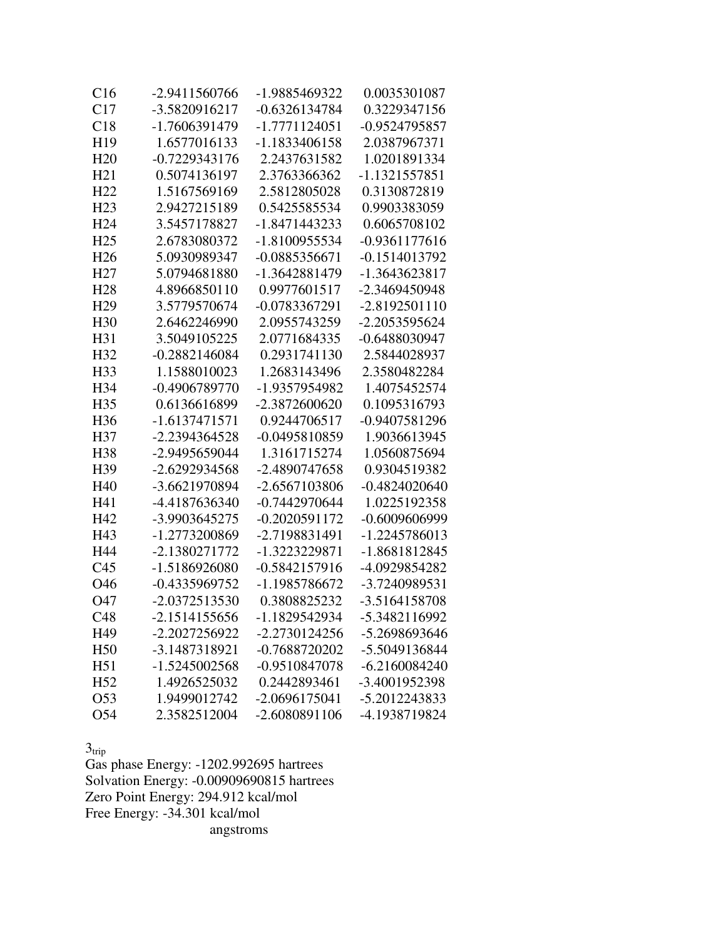| C16             | -2.9411560766   | -1.9885469322   | 0.0035301087    |
|-----------------|-----------------|-----------------|-----------------|
| C17             | -3.5820916217   | $-0.6326134784$ | 0.3229347156    |
| C18             | -1.7606391479   | -1.7771124051   | -0.9524795857   |
| H <sub>19</sub> | 1.6577016133    | -1.1833406158   | 2.0387967371    |
| H20             | $-0.7229343176$ | 2.2437631582    | 1.0201891334    |
| H21             | 0.5074136197    | 2.3763366362    | -1.1321557851   |
| H22             | 1.5167569169    | 2.5812805028    | 0.3130872819    |
| H <sub>23</sub> | 2.9427215189    | 0.5425585534    | 0.9903383059    |
| H <sub>24</sub> | 3.5457178827    | -1.8471443233   | 0.6065708102    |
| H <sub>25</sub> | 2.6783080372    | -1.8100955534   | $-0.9361177616$ |
| H <sub>26</sub> | 5.0930989347    | $-0.0885356671$ | -0.1514013792   |
| H <sub>27</sub> | 5.0794681880    | -1.3642881479   | -1.3643623817   |
| H <sub>28</sub> | 4.8966850110    | 0.9977601517    | -2.3469450948   |
| H <sub>29</sub> | 3.5779570674    | -0.0783367291   | $-2.8192501110$ |
| H <sub>30</sub> | 2.6462246990    | 2.0955743259    | -2.2053595624   |
| H31             | 3.5049105225    | 2.0771684335    | -0.6488030947   |
| H <sub>32</sub> | $-0.2882146084$ | 0.2931741130    | 2.5844028937    |
| H <sub>33</sub> | 1.1588010023    | 1.2683143496    | 2.3580482284    |
| H <sub>34</sub> | -0.4906789770   | -1.9357954982   | 1.4075452574    |
| H <sub>35</sub> | 0.6136616899    | -2.3872600620   | 0.1095316793    |
| H <sub>36</sub> | -1.6137471571   | 0.9244706517    | -0.9407581296   |
| H <sub>37</sub> | -2.2394364528   | -0.0495810859   | 1.9036613945    |
| H <sub>38</sub> | -2.9495659044   | 1.3161715274    | 1.0560875694    |
| H <sub>39</sub> | -2.6292934568   | -2.4890747658   | 0.9304519382    |
| H <sub>40</sub> | -3.6621970894   | -2.6567103806   | $-0.4824020640$ |
| H41             | -4.4187636340   | $-0.7442970644$ | 1.0225192358    |
| H42             | -3.9903645275   | $-0.2020591172$ | $-0.6009606999$ |
| H43             | -1.2773200869   | -2.7198831491   | -1.2245786013   |
| H44             | -2.1380271772   | -1.3223229871   | -1.8681812845   |
| C <sub>45</sub> | -1.5186926080   | -0.5842157916   | -4.0929854282   |
| O46             | -0.4335969752   | -1.1985786672   | -3.7240989531   |
| O47             | -2.0372513530   | 0.3808825232    | -3.5164158708   |
| C48             | 2.1514155656    | 1.1829542934    | 5.3482116992    |
| H <sub>49</sub> | -2.2027256922   | -2.2730124256   | -5.2698693646   |
| H <sub>50</sub> | -3.1487318921   | -0.7688720202   | -5.5049136844   |
| H51             | $-1.5245002568$ | -0.9510847078   | $-6.2160084240$ |
| H <sub>52</sub> | 1.4926525032    | 0.2442893461    | -3.4001952398   |
| O <sub>53</sub> | 1.9499012742    | -2.0696175041   | -5.2012243833   |
| O <sub>54</sub> | 2.3582512004    | -2.6080891106   | -4.1938719824   |

 $3_{\text{trip}}$ 

Gas phase Energy: -1202.992695 hartrees Solvation Energy: -0.00909690815 hartrees Zero Point Energy: 294.912 kcal/mol Free Energy: -34.301 kcal/mol angstroms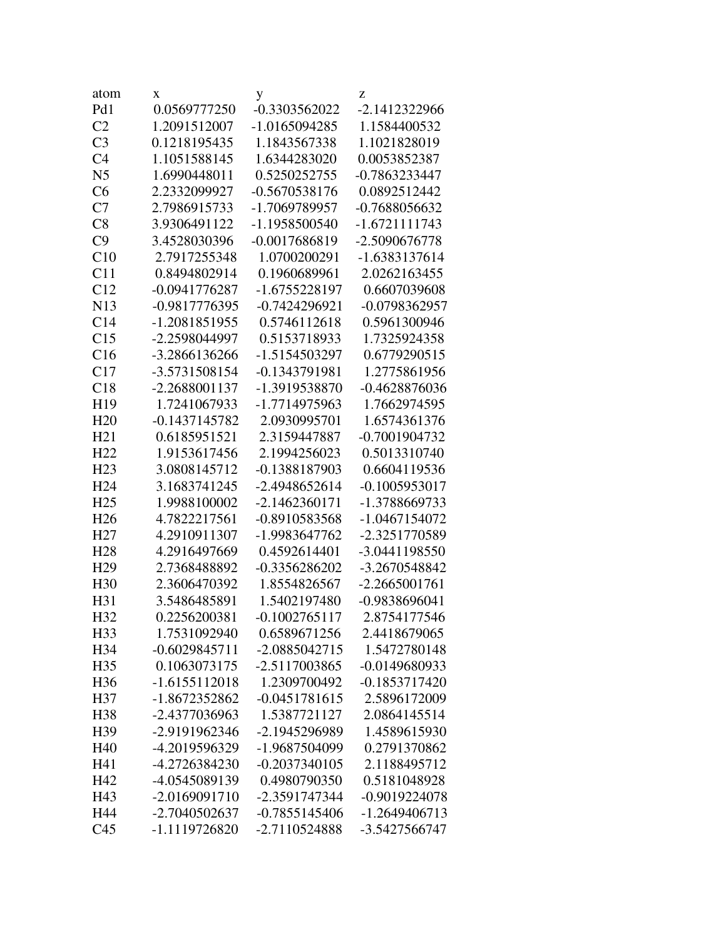| atom            | X               | у               | Z               |
|-----------------|-----------------|-----------------|-----------------|
| Pd1             | 0.0569777250    | -0.3303562022   | -2.1412322966   |
| C <sub>2</sub>  | 1.2091512007    | $-1.0165094285$ | 1.1584400532    |
| C <sub>3</sub>  | 0.1218195435    | 1.1843567338    | 1.1021828019    |
| C <sub>4</sub>  | 1.1051588145    | 1.6344283020    | 0.0053852387    |
| N <sub>5</sub>  | 1.6990448011    | 0.5250252755    | -0.7863233447   |
| C6              | 2.2332099927    | $-0.5670538176$ | 0.0892512442    |
| C7              | 2.7986915733    | -1.7069789957   | -0.7688056632   |
| C8              | 3.9306491122    | -1.1958500540   | $-1.6721111743$ |
| C9              | 3.4528030396    | -0.0017686819   | -2.5090676778   |
| C10             | 2.7917255348    | 1.0700200291    | -1.6383137614   |
| C11             | 0.8494802914    | 0.1960689961    | 2.0262163455    |
| C12             | $-0.0941776287$ | -1.6755228197   | 0.6607039608    |
| N <sub>13</sub> | -0.9817776395   | $-0.7424296921$ | -0.0798362957   |
| C14             | -1.2081851955   | 0.5746112618    | 0.5961300946    |
| C15             | -2.2598044997   | 0.5153718933    | 1.7325924358    |
| C16             | -3.2866136266   | -1.5154503297   | 0.6779290515    |
| C17             | -3.5731508154   | -0.1343791981   | 1.2775861956    |
| C18             | -2.2688001137   | -1.3919538870   | $-0.4628876036$ |
| H <sub>19</sub> | 1.7241067933    | -1.7714975963   | 1.7662974595    |
| H20             | -0.1437145782   | 2.0930995701    | 1.6574361376    |
| H21             | 0.6185951521    | 2.3159447887    | -0.7001904732   |
| H22             | 1.9153617456    | 2.1994256023    | 0.5013310740    |
| H23             | 3.0808145712    | -0.1388187903   | 0.6604119536    |
| H <sub>24</sub> | 3.1683741245    | -2.4948652614   | $-0.1005953017$ |
| H <sub>25</sub> | 1.9988100002    | $-2.1462360171$ | -1.3788669733   |
| H <sub>26</sub> | 4.7822217561    | -0.8910583568   | -1.0467154072   |
| H <sub>27</sub> | 4.2910911307    | -1.9983647762   | -2.3251770589   |
| H <sub>28</sub> | 4.2916497669    | 0.4592614401    | -3.0441198550   |
| H <sub>29</sub> | 2.7368488892    | $-0.3356286202$ | -3.2670548842   |
| H <sub>30</sub> | 2.3606470392    | 1.8554826567    | $-2.2665001761$ |
| H31             | 3.5486485891    | 1.5402197480    | -0.9838696041   |
| H32             | 0.2256200381    | $-0.1002765117$ | 2.8754177546    |
| H <sub>33</sub> | 1.7531092940    | 0.6589671256    | 2.4418679065    |
| H34             | $-0.6029845711$ | -2.0885042715   | 1.5472780148    |
| H35             | 0.1063073175    | -2.5117003865   | -0.0149680933   |
| H <sub>36</sub> | $-1.6155112018$ | 1.2309700492    | $-0.1853717420$ |
| H <sub>37</sub> | -1.8672352862   | $-0.0451781615$ | 2.5896172009    |
| H38             | -2.4377036963   | 1.5387721127    | 2.0864145514    |
| H39             | -2.9191962346   | -2.1945296989   | 1.4589615930    |
| H40             | -4.2019596329   | -1.9687504099   | 0.2791370862    |
| H41             | -4.2726384230   | $-0.2037340105$ | 2.1188495712    |
| H42             | -4.0545089139   | 0.4980790350    | 0.5181048928    |
| H43             | -2.0169091710   | -2.3591747344   | -0.9019224078   |
| H44             | -2.7040502637   | $-0.7855145406$ | -1.2649406713   |
| C <sub>45</sub> | -1.1119726820   | -2.7110524888   | -3.5427566747   |
|                 |                 |                 |                 |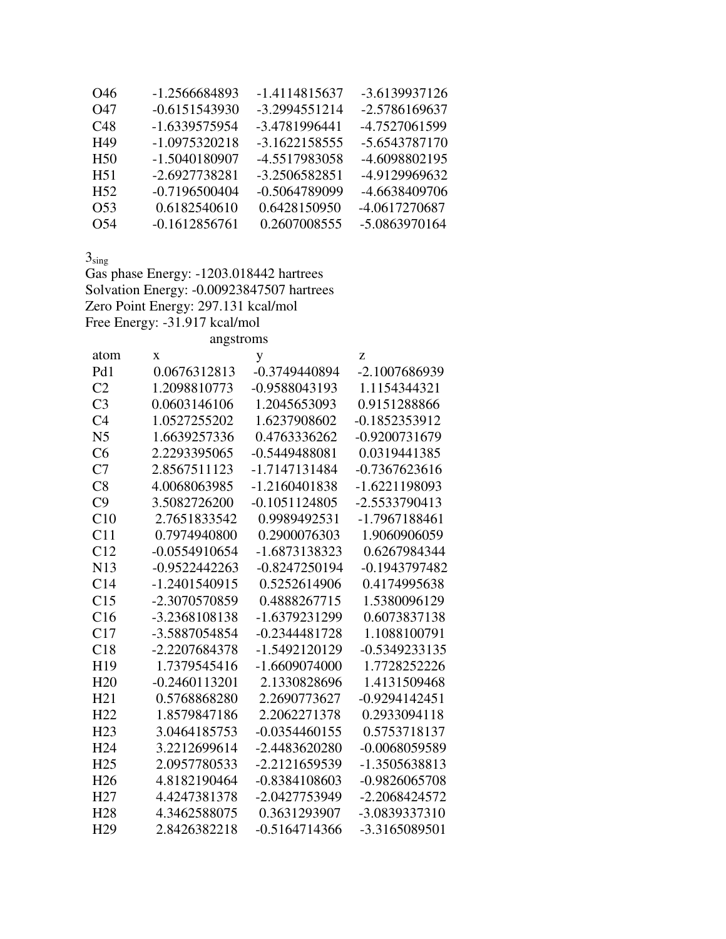| O46             | -1.2566684893   | -1.4114815637 | -3.6139937126   |
|-----------------|-----------------|---------------|-----------------|
| O47             | -0.6151543930   | -3.2994551214 | -2.5786169637   |
| C <sub>48</sub> | -1.6339575954   | -3.4781996441 | -4.7527061599   |
| H49             | -1.0975320218   | -3.1622158555 | -5.6543787170   |
| H <sub>50</sub> | -1.5040180907   | -4.5517983058 | -4.6098802195   |
| H51             | -2.6927738281   | -3.2506582851 | -4.9129969632   |
| H52             | -0.7196500404   | -0.5064789099 | -4.6638409706   |
| 053             | 0.6182540610    | 0.6428150950  | -4.0617270687   |
| O54             | $-0.1612856761$ | 0.2607008555  | $-5.0863970164$ |

 $3_{\rm sing}$ 

Gas phase Energy: -1203.018442 hartrees Solvation Energy: -0.00923847507 hartrees Zero Point Energy: 297.131 kcal/mol Free Energy: -31.917 kcal/mol

| angstroms       |                 |                 |                 |
|-----------------|-----------------|-----------------|-----------------|
| atom            | $\mathbf{x}$    | y               | Z               |
| Pd1             | 0.0676312813    | -0.3749440894   | -2.1007686939   |
| C <sub>2</sub>  | 1.2098810773    | -0.9588043193   | 1.1154344321    |
| C <sub>3</sub>  | 0.0603146106    | 1.2045653093    | 0.9151288866    |
| C <sub>4</sub>  | 1.0527255202    | 1.6237908602    | -0.1852353912   |
| N <sub>5</sub>  | 1.6639257336    | 0.4763336262    | -0.9200731679   |
| C6              | 2.2293395065    | $-0.5449488081$ | 0.0319441385    |
| C7              | 2.8567511123    | -1.7147131484   | $-0.7367623616$ |
| C8              | 4.0068063985    | $-1.2160401838$ | -1.6221198093   |
| C9              | 3.5082726200    | $-0.1051124805$ | -2.5533790413   |
| C10             | 2.7651833542    | 0.9989492531    | -1.7967188461   |
| C11             | 0.7974940800    | 0.2900076303    | 1.9060906059    |
| C12             | $-0.0554910654$ | -1.6873138323   | 0.6267984344    |
| N13             | $-0.9522442263$ | $-0.8247250194$ | -0.1943797482   |
| C14             | $-1.2401540915$ | 0.5252614906    | 0.4174995638    |
| C15             | -2.3070570859   | 0.4888267715    | 1.5380096129    |
| C16             | -3.2368108138   | -1.6379231299   | 0.6073837138    |
| C17             | -3.5887054854   | $-0.2344481728$ | 1.1088100791    |
| C18             | -2.2207684378   | -1.5492120129   | $-0.5349233135$ |
| H19             | 1.7379545416    | $-1.6609074000$ | 1.7728252226    |
| H20             | $-0.2460113201$ | 2.1330828696    | 1.4131509468    |
| H21             | 0.5768868280    | 2.2690773627    | $-0.9294142451$ |
| H <sub>22</sub> | 1.8579847186    | 2.2062271378    | 0.2933094118    |
| H <sub>23</sub> | 3.0464185753    | $-0.0354460155$ | 0.5753718137    |
| H <sub>24</sub> | 3.2212699614    | -2.4483620280   | -0.0068059589   |
| H <sub>25</sub> | 2.0957780533    | -2.2121659539   | -1.3505638813   |
| H <sub>26</sub> | 4.8182190464    | -0.8384108603   | $-0.9826065708$ |
| H <sub>27</sub> | 4.4247381378    | -2.0427753949   | -2.2068424572   |
| H <sub>28</sub> | 4.3462588075    | 0.3631293907    | -3.0839337310   |
| H <sub>29</sub> | 2.8426382218    | $-0.5164714366$ | -3.3165089501   |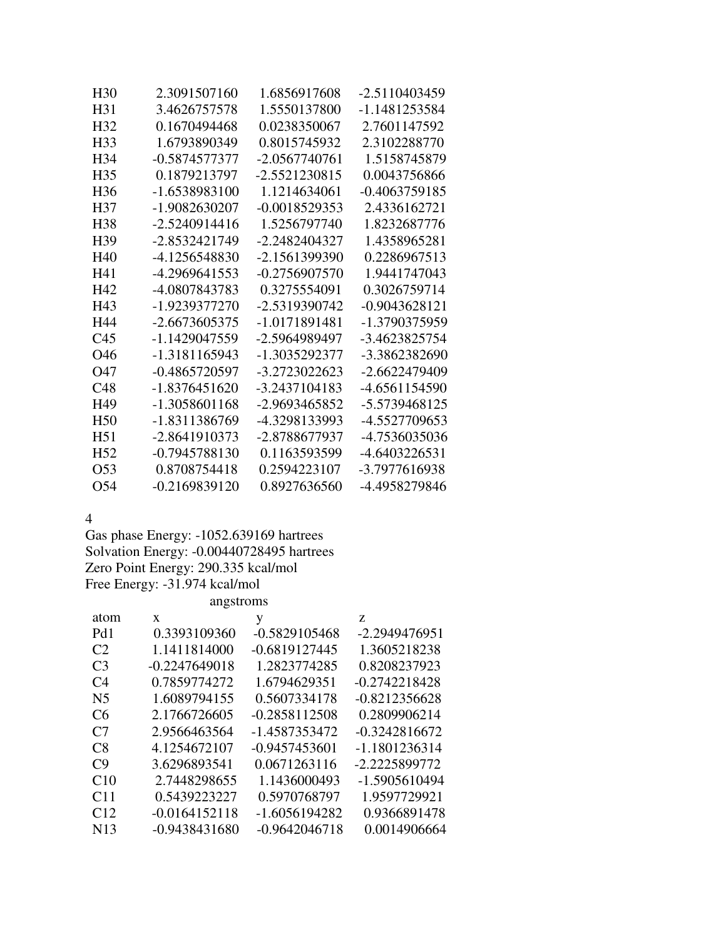| H <sub>30</sub> | 2.3091507160    | 1.6856917608    | -2.5110403459   |
|-----------------|-----------------|-----------------|-----------------|
| H31             | 3.4626757578    | 1.5550137800    | -1.1481253584   |
| H <sub>32</sub> | 0.1670494468    | 0.0238350067    | 2.7601147592    |
| H <sub>33</sub> | 1.6793890349    | 0.8015745932    | 2.3102288770    |
| H34             | -0.5874577377   | -2.0567740761   | 1.5158745879    |
| H <sub>35</sub> | 0.1879213797    | -2.5521230815   | 0.0043756866    |
| H <sub>36</sub> | -1.6538983100   | 1.1214634061    | $-0.4063759185$ |
| H37             | -1.9082630207   | $-0.0018529353$ | 2.4336162721    |
| H <sub>38</sub> | $-2.5240914416$ | 1.5256797740    | 1.8232687776    |
| H39             | -2.8532421749   | -2.2482404327   | 1.4358965281    |
| H40             | -4.1256548830   | -2.1561399390   | 0.2286967513    |
| H41             | -4.2969641553   | -0.2756907570   | 1.9441747043    |
| H42             | -4.0807843783   | 0.3275554091    | 0.3026759714    |
| H43             | -1.9239377270   | -2.5319390742   | $-0.9043628121$ |
| H44             | -2.6673605375   | -1.0171891481   | -1.3790375959   |
| C45             | -1.1429047559   | -2.5964989497   | -3.4623825754   |
| O46             | -1.3181165943   | -1.3035292377   | -3.3862382690   |
| O47             | -0.4865720597   | -3.2723022623   | -2.6622479409   |
| C <sub>48</sub> | $-1.8376451620$ | -3.2437104183   | -4.6561154590   |
| H49             | -1.3058601168   | -2.9693465852   | -5.5739468125   |
| H <sub>50</sub> | -1.8311386769   | -4.3298133993   | -4.5527709653   |
| H <sub>51</sub> | -2.8641910373   | -2.8788677937   | -4.7536035036   |
| H <sub>52</sub> | -0.7945788130   | 0.1163593599    | -4.6403226531   |
| O <sub>53</sub> | 0.8708754418    | 0.2594223107    | -3.7977616938   |
| O54             | -0.2169839120   | 0.8927636560    | -4.4958279846   |

4

Gas phase Energy: -1052.639169 hartrees Solvation Energy: -0.00440728495 hartrees Zero Point Energy: 290.335 kcal/mol Free Energy: -31.974 kcal/mol angstroms

| atom            | X               | у               | Z.              |
|-----------------|-----------------|-----------------|-----------------|
| Pd1             | 0.3393109360    | $-0.5829105468$ | -2.2949476951   |
| C <sub>2</sub>  | 1.1411814000    | $-0.6819127445$ | 1.3605218238    |
| C <sub>3</sub>  | $-0.2247649018$ | 1.2823774285    | 0.8208237923    |
| C <sub>4</sub>  | 0.7859774272    | 1.6794629351    | $-0.2742218428$ |
| N <sub>5</sub>  | 1.6089794155    | 0.5607334178    | $-0.8212356628$ |
| C <sub>6</sub>  | 2.1766726605    | $-0.2858112508$ | 0.2809906214    |
| C <sub>7</sub>  | 2.9566463564    | -1.4587353472   | $-0.3242816672$ |
| C8              | 4.1254672107    | $-0.9457453601$ | $-1.1801236314$ |
| C9              | 3.6296893541    | 0.0671263116    | -2.2225899772   |
| C10             | 2.7448298655    | 1.1436000493    | -1.5905610494   |
| C <sub>11</sub> | 0.5439223227    | 0.5970768797    | 1.9597729921    |
| C12             | $-0.0164152118$ | $-1.6056194282$ | 0.9366891478    |
| N <sub>13</sub> | $-0.9438431680$ | $-0.9642046718$ | 0.0014906664    |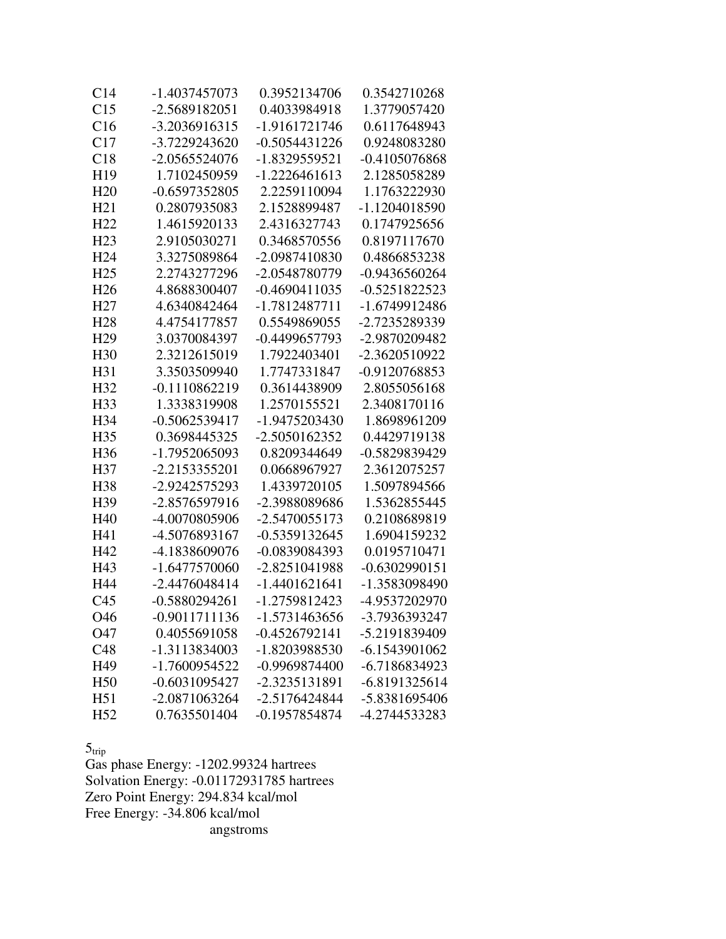| C <sub>14</sub> | -1.4037457073   | 0.3952134706    | 0.3542710268    |
|-----------------|-----------------|-----------------|-----------------|
| C15             | -2.5689182051   | 0.4033984918    | 1.3779057420    |
| C16             | -3.2036916315   | -1.9161721746   | 0.6117648943    |
| C17             | -3.7229243620   | $-0.5054431226$ | 0.9248083280    |
| C18             | -2.0565524076   | -1.8329559521   | $-0.4105076868$ |
| H19             | 1.7102450959    | $-1.2226461613$ | 2.1285058289    |
| H20             | -0.6597352805   | 2.2259110094    | 1.1763222930    |
| H21             | 0.2807935083    | 2.1528899487    | -1.1204018590   |
| H22             | 1.4615920133    | 2.4316327743    | 0.1747925656    |
| H23             | 2.9105030271    | 0.3468570556    | 0.8197117670    |
| H <sub>24</sub> | 3.3275089864    | -2.0987410830   | 0.4866853238    |
| H <sub>25</sub> | 2.2743277296    | -2.0548780779   | $-0.9436560264$ |
| H <sub>26</sub> | 4.8688300407    | $-0.4690411035$ | $-0.5251822523$ |
| H <sub>27</sub> | 4.6340842464    | -1.7812487711   | -1.6749912486   |
| H <sub>28</sub> | 4.4754177857    | 0.5549869055    | -2.7235289339   |
| H <sub>29</sub> | 3.0370084397    | -0.4499657793   | -2.9870209482   |
| H <sub>30</sub> | 2.3212615019    | 1.7922403401    | -2.3620510922   |
| H31             | 3.3503509940    | 1.7747331847    | -0.9120768853   |
| H <sub>32</sub> | $-0.1110862219$ | 0.3614438909    | 2.8055056168    |
| H <sub>33</sub> | 1.3338319908    | 1.2570155521    | 2.3408170116    |
| H <sub>34</sub> | $-0.5062539417$ | -1.9475203430   | 1.8698961209    |
| H <sub>35</sub> | 0.3698445325    | -2.5050162352   | 0.4429719138    |
| H <sub>36</sub> | -1.7952065093   | 0.8209344649    | -0.5829839429   |
| H <sub>37</sub> | -2.2153355201   | 0.0668967927    | 2.3612075257    |
| H <sub>38</sub> | -2.9242575293   | 1.4339720105    | 1.5097894566    |
| H <sub>39</sub> | -2.8576597916   | -2.3988089686   | 1.5362855445    |
| H <sub>40</sub> | -4.0070805906   | -2.5470055173   | 0.2108689819    |
| H41             | -4.5076893167   | -0.5359132645   | 1.6904159232    |
| H42             | -4.1838609076   | -0.0839084393   | 0.0195710471    |
| H43             | -1.6477570060   | -2.8251041988   | $-0.6302990151$ |
| H44             | -2.4476048414   | $-1.4401621641$ | -1.3583098490   |
| C <sub>45</sub> | $-0.5880294261$ | -1.2759812423   | -4.9537202970   |
| O46             | 0.9011711136    | 1.5731463656    | 3.7936393247    |
| O47             | 0.4055691058    | $-0.4526792141$ | -5.2191839409   |
| C48             | -1.3113834003   | -1.8203988530   | -6.1543901062   |
| H49             | -1.7600954522   | -0.9969874400   | -6.7186834923   |
| H <sub>50</sub> | -0.6031095427   | -2.3235131891   | -6.8191325614   |
| H51             | -2.0871063264   | -2.5176424844   | -5.8381695406   |
| H <sub>52</sub> | 0.7635501404    | -0.1957854874   | -4.2744533283   |

 $5<sub>trip</sub>$ 

Gas phase Energy: -1202.99324 hartrees Solvation Energy: -0.01172931785 hartrees Zero Point Energy: 294.834 kcal/mol Free Energy: -34.806 kcal/mol angstroms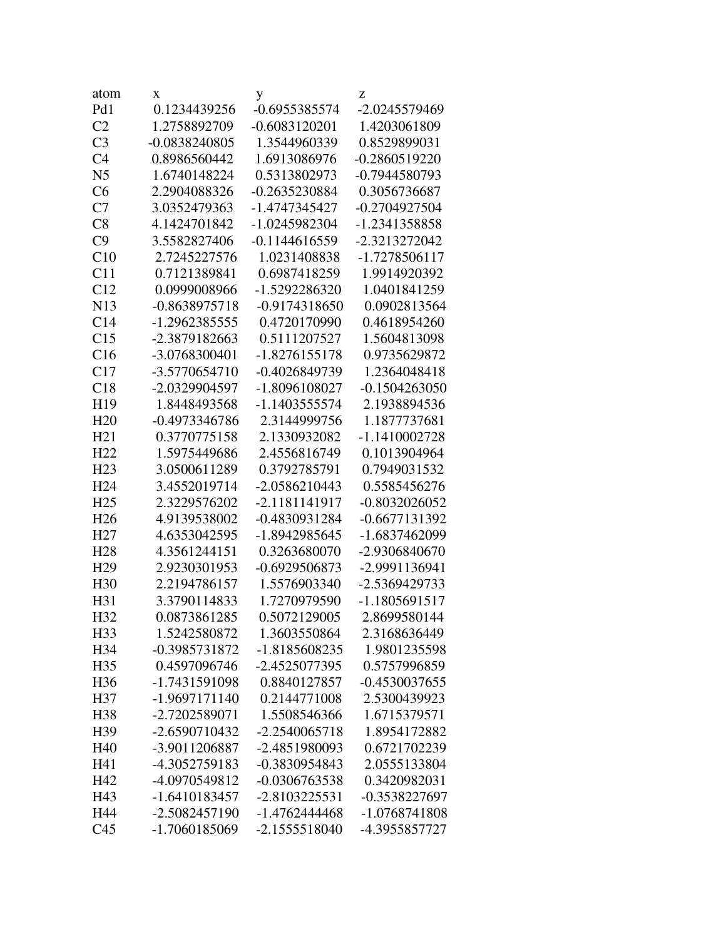| atom            | X               | у                                | z               |
|-----------------|-----------------|----------------------------------|-----------------|
| Pd1             | 0.1234439256    | $-0.6955385574$                  | -2.0245579469   |
| C <sub>2</sub>  | 1.2758892709    | $-0.6083120201$                  | 1.4203061809    |
| C <sub>3</sub>  | -0.0838240805   | 1.3544960339                     | 0.8529899031    |
| C <sub>4</sub>  | 0.8986560442    | 1.6913086976                     | $-0.2860519220$ |
| N <sub>5</sub>  | 1.6740148224    | 0.5313802973                     | -0.7944580793   |
| C6              | 2.2904088326    | -0.2635230884                    | 0.3056736687    |
| C7              | 3.0352479363    | -1.4747345427                    | $-0.2704927504$ |
| C8              | 4.1424701842    | -1.0245982304                    | -1.2341358858   |
| C9              | 3.5582827406    | $-0.1144616559$                  | -2.3213272042   |
| C10             | 2.7245227576    | 1.0231408838                     | -1.7278506117   |
| C11             | 0.7121389841    | 0.6987418259                     | 1.9914920392    |
| C12             | 0.0999008966    | -1.5292286320                    | 1.0401841259    |
| N <sub>13</sub> | -0.8638975718   | -0.9174318650                    | 0.0902813564    |
| C14             | -1.2962385555   | 0.4720170990                     | 0.4618954260    |
| C15             | -2.3879182663   | 0.5111207527                     | 1.5604813098    |
| C16             | -3.0768300401   | -1.8276155178                    | 0.9735629872    |
| C17             | -3.5770654710   | -0.4026849739                    | 1.2364048418    |
| C18             | -2.0329904597   | -1.8096108027                    | $-0.1504263050$ |
| H <sub>19</sub> | 1.8448493568    | -1.1403555574                    | 2.1938894536    |
| H20             | -0.4973346786   | 2.3144999756                     | 1.1877737681    |
| H21             | 0.3770775158    | 2.1330932082                     | -1.1410002728   |
| H22             | 1.5975449686    | 2.4556816749                     | 0.1013904964    |
| H <sub>23</sub> | 3.0500611289    | 0.3792785791                     | 0.7949031532    |
| H <sub>24</sub> | 3.4552019714    | -2.0586210443                    | 0.5585456276    |
| H <sub>25</sub> | 2.3229576202    | -2.1181141917                    | $-0.8032026052$ |
| H <sub>26</sub> | 4.9139538002    | -0.4830931284                    | -0.6677131392   |
| H <sub>27</sub> | 4.6353042595    | -1.8942985645                    | -1.6837462099   |
| H <sub>28</sub> | 4.3561244151    | 0.3263680070                     | -2.9306840670   |
| H <sub>29</sub> | 2.9230301953    | -0.6929506873                    | -2.9991136941   |
| H <sub>30</sub> | 2.2194786157    | 1.5576903340                     | -2.5369429733   |
| H31             | 3.3790114833    | 1.7270979590                     | -1.1805691517   |
| H32             | 0.0873861285    | 0.5072129005                     | 2.8699580144    |
| H <sub>33</sub> | 1.5242580872    | 1.3603550864                     | 2.3168636449    |
| H34             | -0.3985731872   | -1.8185608235                    | 1.9801235598    |
| H35             | 0.4597096746    | -2.4525077395                    | 0.5757996859    |
| H <sub>36</sub> | -1.7431591098   | 0.8840127857                     | $-0.4530037655$ |
| H37             | -1.9697171140   | 0.2144771008                     | 2.5300439923    |
| H38             | $-2.7202589071$ | 1.5508546366                     | 1.6715379571    |
| H39             | -2.6590710432   | $-2.2540065718$                  | 1.8954172882    |
| H40             | -3.9011206887   | -2.4851980093                    | 0.6721702239    |
| H41             | -4.3052759183   | -0.3830954843                    | 2.0555133804    |
| H42             | -4.0970549812   | -0.0306763538                    | 0.3420982031    |
| H43             | -1.6410183457   |                                  |                 |
|                 |                 | $-2.8103225531$<br>-1.4762444468 | -0.3538227697   |
| H44             | -2.5082457190   |                                  | -1.0768741808   |
| C <sub>45</sub> | -1.7060185069   | -2.1555518040                    | -4.3955857727   |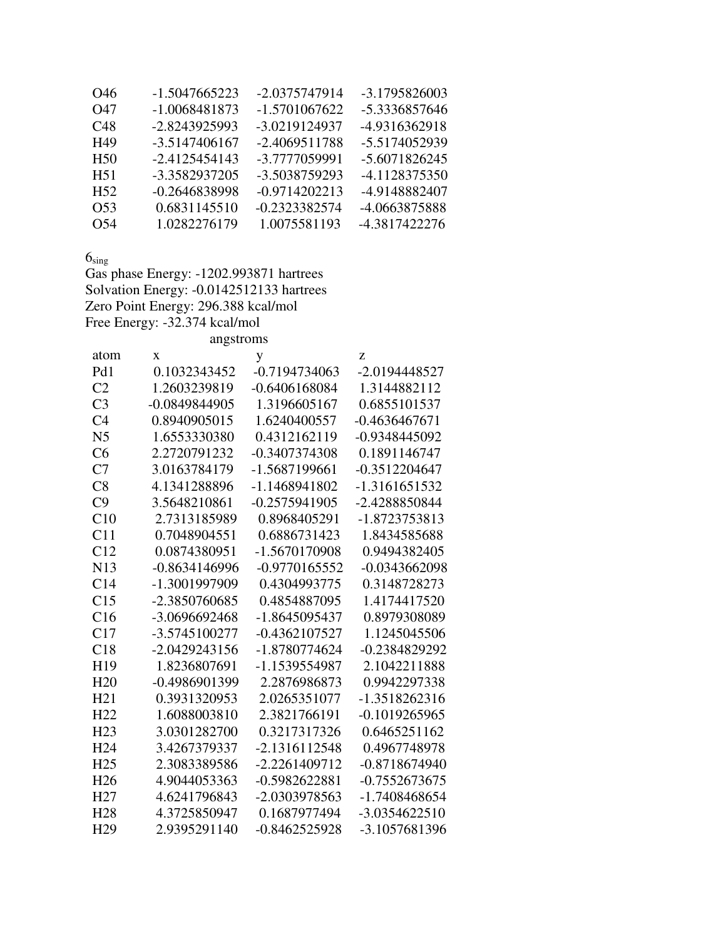| 046 | -1.5047665223 | -2.0375747914   | -3.1795826003 |
|-----|---------------|-----------------|---------------|
| O47 | -1.0068481873 | -1.5701067622   | -5.3336857646 |
| C48 | -2.8243925993 | -3.0219124937   | -4.9316362918 |
| H49 | -3.5147406167 | $-2.4069511788$ | -5.5174052939 |
| H50 | -2.4125454143 | -3.7777059991   | -5.6071826245 |
| H51 | -3.3582937205 | -3.5038759293   | -4.1128375350 |
| H52 | -0.2646838998 | -0.9714202213   | -4.9148882407 |
| 053 | 0.6831145510  | -0.2323382574   | -4.0663875888 |
| O54 | 1.0282276179  | 1.0075581193    | -4.3817422276 |

 $6_{sing}$ 

Gas phase Energy: -1202.993871 hartrees Solvation Energy: -0.0142512133 hartrees Zero Point Energy: 296.388 kcal/mol Free Energy: -32.374 kcal/mol

angstroms

| atom            | X               | y               | Z               |
|-----------------|-----------------|-----------------|-----------------|
| Pd1             | 0.1032343452    | -0.7194734063   | -2.0194448527   |
| C <sub>2</sub>  | 1.2603239819    | $-0.6406168084$ | 1.3144882112    |
| C <sub>3</sub>  | $-0.0849844905$ | 1.3196605167    | 0.6855101537    |
| C <sub>4</sub>  | 0.8940905015    | 1.6240400557    | $-0.4636467671$ |
| N <sub>5</sub>  | 1.6553330380    | 0.4312162119    | -0.9348445092   |
| C6              | 2.2720791232    | -0.3407374308   | 0.1891146747    |
| C7              | 3.0163784179    | -1.5687199661   | $-0.3512204647$ |
| C8              | 4.1341288896    | -1.1468941802   | -1.3161651532   |
| C9              | 3.5648210861    | $-0.2575941905$ | -2.4288850844   |
| C10             | 2.7313185989    | 0.8968405291    | -1.8723753813   |
| C11             | 0.7048904551    | 0.6886731423    | 1.8434585688    |
| C12             | 0.0874380951    | -1.5670170908   | 0.9494382405    |
| N13             | $-0.8634146996$ | -0.9770165552   | $-0.0343662098$ |
| C14             | -1.3001997909   | 0.4304993775    | 0.3148728273    |
| C15             | -2.3850760685   | 0.4854887095    | 1.4174417520    |
| C16             | -3.0696692468   | -1.8645095437   | 0.8979308089    |
| C17             | -3.5745100277   | $-0.4362107527$ | 1.1245045506    |
| C18             | -2.0429243156   | -1.8780774624   | -0.2384829292   |
| H19             | 1.8236807691    | -1.1539554987   | 2.1042211888    |
| H20             | -0.4986901399   | 2.2876986873    | 0.9942297338    |
| H21             | 0.3931320953    | 2.0265351077    | -1.3518262316   |
| H22             | 1.6088003810    | 2.3821766191    | $-0.1019265965$ |
| H <sub>23</sub> | 3.0301282700    | 0.3217317326    | 0.6465251162    |
| H <sub>24</sub> | 3.4267379337    | -2.1316112548   | 0.4967748978    |
| H <sub>25</sub> | 2.3083389586    | $-2.2261409712$ | $-0.8718674940$ |
| H <sub>26</sub> | 4.9044053363    | $-0.5982622881$ | $-0.7552673675$ |
| H <sub>27</sub> | 4.6241796843    | -2.0303978563   | -1.7408468654   |
| H <sub>28</sub> | 4.3725850947    | 0.1687977494    | $-3.0354622510$ |
| H <sub>29</sub> | 2.9395291140    | $-0.8462525928$ | -3.1057681396   |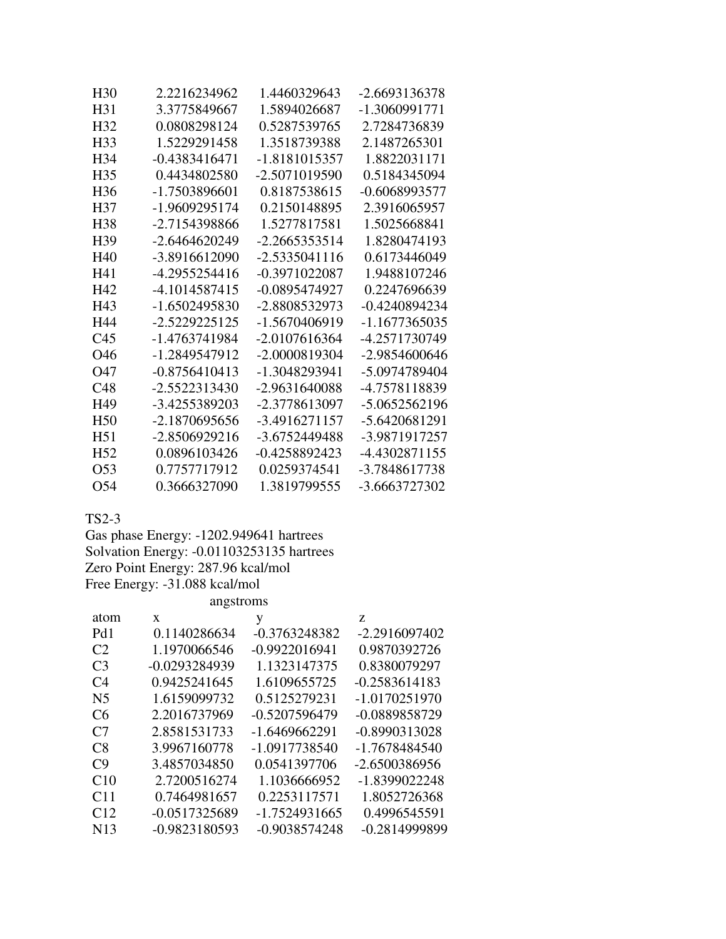| H <sub>30</sub> | 2.2216234962    | 1.4460329643    | -2.6693136378   |
|-----------------|-----------------|-----------------|-----------------|
| H31             | 3.3775849667    | 1.5894026687    | -1.3060991771   |
| H <sub>32</sub> | 0.0808298124    | 0.5287539765    | 2.7284736839    |
| H33             | 1.5229291458    | 1.3518739388    | 2.1487265301    |
| H <sub>34</sub> | $-0.4383416471$ | -1.8181015357   | 1.8822031171    |
| H <sub>35</sub> | 0.4434802580    | -2.5071019590   | 0.5184345094    |
| H <sub>36</sub> | -1.7503896601   | 0.8187538615    | $-0.6068993577$ |
| H37             | -1.9609295174   | 0.2150148895    | 2.3916065957    |
| H <sub>38</sub> | -2.7154398866   | 1.5277817581    | 1.5025668841    |
| H <sub>39</sub> | $-2.6464620249$ | $-2.2665353514$ | 1.8280474193    |
| H40             | -3.8916612090   | $-2.5335041116$ | 0.6173446049    |
| H41             | -4.2955254416   | -0.3971022087   | 1.9488107246    |
| H42             | -4.1014587415   | -0.0895474927   | 0.2247696639    |
| H <sub>43</sub> | -1.6502495830   | -2.8808532973   | $-0.4240894234$ |
| H44             | -2.5229225125   | -1.5670406919   | -1.1677365035   |
| C <sub>45</sub> | -1.4763741984   | $-2.0107616364$ | -4.2571730749   |
| O46             | -1.2849547912   | -2.0000819304   | $-2.9854600646$ |
| O47             | $-0.8756410413$ | -1.3048293941   | -5.0974789404   |
| C <sub>48</sub> | $-2.5522313430$ | -2.9631640088   | -4.7578118839   |
| H49             | -3.4255389203   | -2.3778613097   | -5.0652562196   |
| H <sub>50</sub> | -2.1870695656   | -3.4916271157   | -5.6420681291   |
| H <sub>51</sub> | -2.8506929216   | -3.6752449488   | -3.9871917257   |
| H <sub>52</sub> | 0.0896103426    | -0.4258892423   | -4.4302871155   |
| O <sub>53</sub> | 0.7757717912    | 0.0259374541    | -3.7848617738   |
| O54             | 0.3666327090    | 1.3819799555    | -3.6663727302   |

TS2-3

Gas phase Energy: -1202.949641 hartrees Solvation Energy: -0.01103253135 hartrees Zero Point Energy: 287.96 kcal/mol Free Energy: -31.088 kcal/mol angstroms

| atom            | X               | y               | Z               |
|-----------------|-----------------|-----------------|-----------------|
| Pd1             | 0.1140286634    | $-0.3763248382$ | $-2.2916097402$ |
| C <sub>2</sub>  | 1.1970066546    | $-0.9922016941$ | 0.9870392726    |
| C <sub>3</sub>  | -0.0293284939   | 1.1323147375    | 0.8380079297    |
| C <sub>4</sub>  | 0.9425241645    | 1.6109655725    | $-0.2583614183$ |
| N <sub>5</sub>  | 1.6159099732    | 0.5125279231    | $-1.0170251970$ |
| C <sub>6</sub>  | 2.2016737969    | -0.5207596479   | -0.0889858729   |
| C <sub>7</sub>  | 2.8581531733    | -1.6469662291   | $-0.8990313028$ |
| C8              | 3.9967160778    | -1.0917738540   | $-1.7678484540$ |
| C9              | 3.4857034850    | 0.0541397706    | -2.6500386956   |
| C10             | 2.7200516274    | 1.1036666952    | -1.8399022248   |
| C <sub>11</sub> | 0.7464981657    | 0.2253117571    | 1.8052726368    |
| C12             | $-0.0517325689$ | -1.7524931665   | 0.4996545591    |
| N <sub>13</sub> | $-0.9823180593$ | -0.9038574248   | $-0.2814999899$ |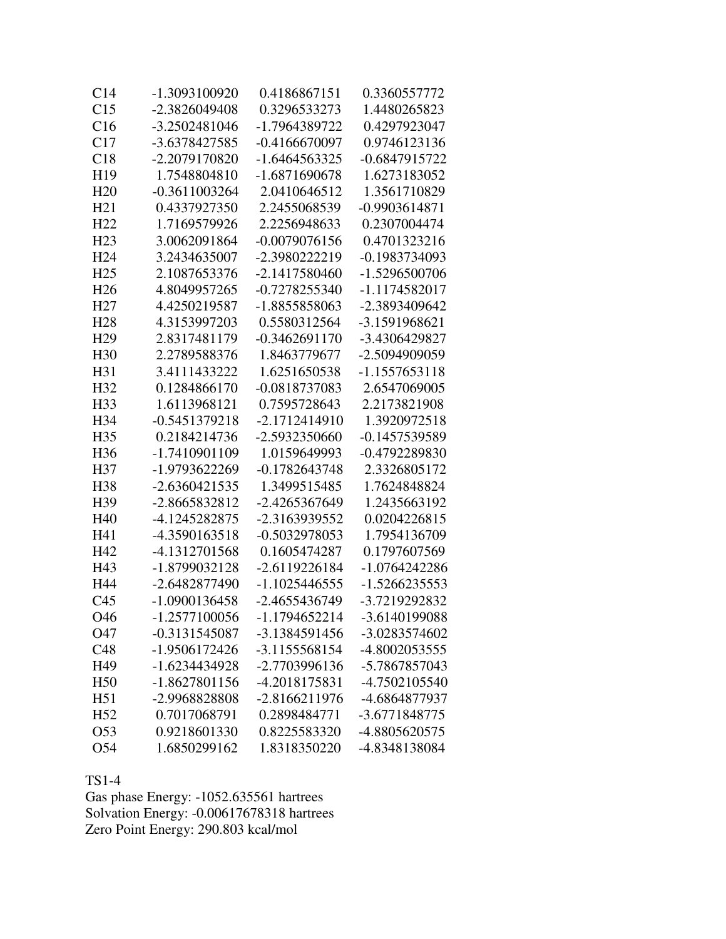| C <sub>14</sub> | -1.3093100920   | 0.4186867151    | 0.3360557772    |
|-----------------|-----------------|-----------------|-----------------|
| C15             | -2.3826049408   | 0.3296533273    | 1.4480265823    |
| C16             | -3.2502481046   | -1.7964389722   | 0.4297923047    |
| C17             | -3.6378427585   | $-0.4166670097$ | 0.9746123136    |
| C18             | -2.2079170820   | $-1.6464563325$ | -0.6847915722   |
| H19             | 1.7548804810    | -1.6871690678   | 1.6273183052    |
| H20             | $-0.3611003264$ | 2.0410646512    | 1.3561710829    |
| H21             | 0.4337927350    | 2.2455068539    | $-0.9903614871$ |
| H <sub>22</sub> | 1.7169579926    | 2.2256948633    | 0.2307004474    |
| H23             | 3.0062091864    | $-0.0079076156$ | 0.4701323216    |
| H <sub>24</sub> | 3.2434635007    | -2.3980222219   | -0.1983734093   |
| H <sub>25</sub> | 2.1087653376    | -2.1417580460   | -1.5296500706   |
| H <sub>26</sub> | 4.8049957265    | $-0.7278255340$ | -1.1174582017   |
| H <sub>27</sub> | 4.4250219587    | -1.8855858063   | -2.3893409642   |
| H <sub>28</sub> | 4.3153997203    | 0.5580312564    | -3.1591968621   |
| H <sub>29</sub> | 2.8317481179    | $-0.3462691170$ | -3.4306429827   |
| H <sub>30</sub> | 2.2789588376    | 1.8463779677    | -2.5094909059   |
| H31             | 3.4111433222    | 1.6251650538    | -1.1557653118   |
| H <sub>32</sub> | 0.1284866170    | -0.0818737083   | 2.6547069005    |
| H <sub>33</sub> | 1.6113968121    | 0.7595728643    | 2.2173821908    |
| H34             | $-0.5451379218$ | -2.1712414910   | 1.3920972518    |
| H <sub>35</sub> | 0.2184214736    | -2.5932350660   | -0.1457539589   |
| H <sub>36</sub> | -1.7410901109   | 1.0159649993    | -0.4792289830   |
| H <sub>37</sub> | -1.9793622269   | $-0.1782643748$ | 2.3326805172    |
| H <sub>38</sub> | $-2.6360421535$ | 1.3499515485    | 1.7624848824    |
| H <sub>39</sub> | -2.8665832812   | -2.4265367649   | 1.2435663192    |
| H <sub>40</sub> | -4.1245282875   | -2.3163939552   | 0.0204226815    |
| H41             | -4.3590163518   | -0.5032978053   | 1.7954136709    |
| H42             | -4.1312701568   | 0.1605474287    | 0.1797607569    |
| H43             | -1.8799032128   | $-2.6119226184$ | $-1.0764242286$ |
| H44             | -2.6482877490   | -1.1025446555   | -1.5266235553   |
| C <sub>45</sub> | -1.0900136458   | -2.4655436749   | -3.7219292832   |
| O46             | 1.2577100056    | 1.1794652214    | 3.6140199088    |
| O47             | -0.3131545087   | -3.1384591456   | -3.0283574602   |
| C48             | -1.9506172426   | -3.1155568154   | -4.8002053555   |
| H49             | -1.6234434928   | -2.7703996136   | -5.7867857043   |
| H <sub>50</sub> | -1.8627801156   | -4.2018175831   | -4.7502105540   |
| H51             | -2.9968828808   | -2.8166211976   | -4.6864877937   |
| H <sub>52</sub> | 0.7017068791    | 0.2898484771    | -3.6771848775   |
| O <sub>53</sub> | 0.9218601330    | 0.8225583320    | -4.8805620575   |
| O54             | 1.6850299162    | 1.8318350220    | -4.8348138084   |

TS1-4

Gas phase Energy: -1052.635561 hartrees Solvation Energy: -0.00617678318 hartrees Zero Point Energy: 290.803 kcal/mol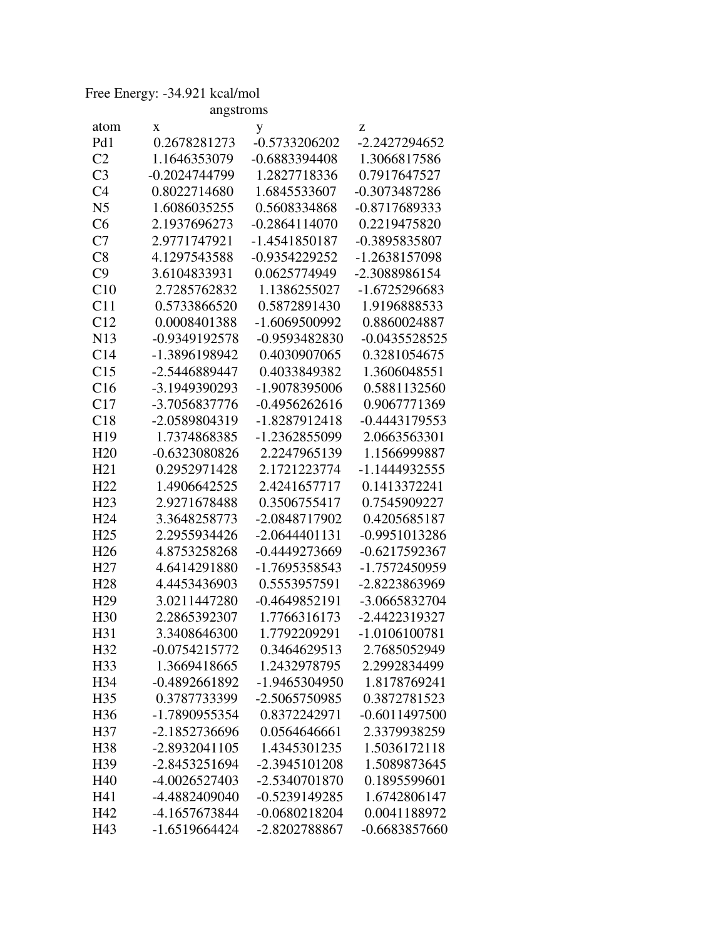## Free Energy: -34.921 kcal/mol

| angstroms       |                 |                 |                 |
|-----------------|-----------------|-----------------|-----------------|
| atom            | X               | y               | Z               |
| Pd1             | 0.2678281273    | -0.5733206202   | -2.2427294652   |
| C <sub>2</sub>  | 1.1646353079    | -0.6883394408   | 1.3066817586    |
| C <sub>3</sub>  | -0.2024744799   | 1.2827718336    | 0.7917647527    |
| C <sub>4</sub>  | 0.8022714680    | 1.6845533607    | -0.3073487286   |
| N <sub>5</sub>  | 1.6086035255    | 0.5608334868    | -0.8717689333   |
| C6              | 2.1937696273    | $-0.2864114070$ | 0.2219475820    |
| C7              | 2.9771747921    | -1.4541850187   | -0.3895835807   |
| C8              | 4.1297543588    | -0.9354229252   | -1.2638157098   |
| C9              | 3.6104833931    | 0.0625774949    | -2.3088986154   |
| C10             | 2.7285762832    | 1.1386255027    | -1.6725296683   |
| C11             | 0.5733866520    | 0.5872891430    | 1.9196888533    |
| C12             | 0.0008401388    | -1.6069500992   | 0.8860024887    |
| N13             | -0.9349192578   | -0.9593482830   | $-0.0435528525$ |
| C14             | -1.3896198942   | 0.4030907065    | 0.3281054675    |
| C15             | -2.5446889447   | 0.4033849382    | 1.3606048551    |
| C16             | -3.1949390293   | -1.9078395006   | 0.5881132560    |
| C17             | -3.7056837776   | $-0.4956262616$ | 0.9067771369    |
| C18             | -2.0589804319   | -1.8287912418   | $-0.4443179553$ |
| H19             | 1.7374868385    | -1.2362855099   | 2.0663563301    |
| H20             | -0.6323080826   | 2.2247965139    | 1.1566999887    |
| H21             | 0.2952971428    | 2.1721223774    | -1.1444932555   |
| H22             | 1.4906642525    | 2.4241657717    | 0.1413372241    |
| H <sub>23</sub> | 2.9271678488    | 0.3506755417    | 0.7545909227    |
| H <sub>24</sub> | 3.3648258773    | -2.0848717902   | 0.4205685187    |
| H <sub>25</sub> | 2.2955934426    | $-2.0644401131$ | -0.9951013286   |
| H <sub>26</sub> | 4.8753258268    | -0.4449273669   | $-0.6217592367$ |
| H <sub>27</sub> | 4.6414291880    | -1.7695358543   | -1.7572450959   |
| H <sub>28</sub> | 4.4453436903    | 0.5553957591    | -2.8223863969   |
| H <sub>29</sub> | 3.0211447280    | $-0.4649852191$ | -3.0665832704   |
| H <sub>30</sub> | 2.2865392307    | 1.7766316173    | -2.4422319327   |
| H31             | 3.3408646300    | 1.7792209291    | $-1.0106100781$ |
| H <sub>32</sub> | $-0.0754215772$ | 0.3464629513    | 2.7685052949    |
| H33             | 1.3669418665    | 1.2432978795    | 2.2992834499    |
| H34             | -0.4892661892   | -1.9465304950   | 1.8178769241    |
| H <sub>35</sub> | 0.3787733399    | -2.5065750985   | 0.3872781523    |
| H <sub>36</sub> | -1.7890955354   | 0.8372242971    | $-0.6011497500$ |
| H37             | -2.1852736696   | 0.0564646661    | 2.3379938259    |
| H <sub>38</sub> | $-2.8932041105$ | 1.4345301235    | 1.5036172118    |
| H39             | $-2.8453251694$ | -2.3945101208   | 1.5089873645    |
| H40             | -4.0026527403   | -2.5340701870   | 0.1895599601    |
| H41             | -4.4882409040   | -0.5239149285   | 1.6742806147    |
| H42             | -4.1657673844   | $-0.0680218204$ | 0.0041188972    |
| H43             | $-1.6519664424$ | -2.8202788867   | $-0.6683857660$ |